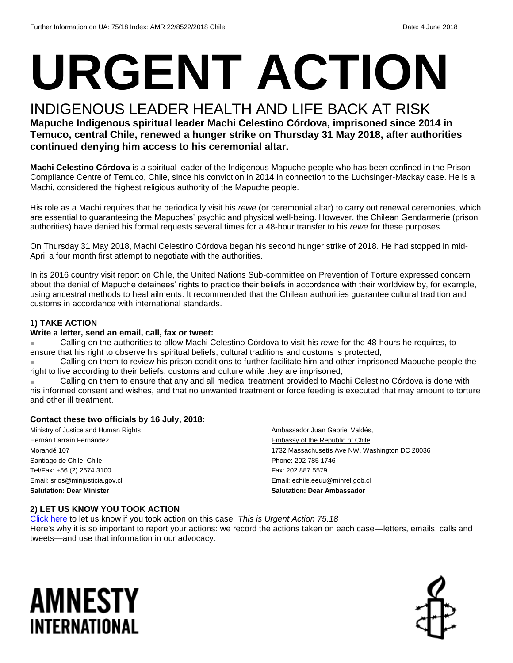# **URGENT ACTION**

#### INDIGENOUS LEADER HEALTH AND LIFE BACK AT RISK

#### **Mapuche Indigenous spiritual leader Machi Celestino Córdova, imprisoned since 2014 in Temuco, central Chile, renewed a hunger strike on Thursday 31 May 2018, after authorities continued denying him access to his ceremonial altar.**

**Machi Celestino Córdova** is a spiritual leader of the Indigenous Mapuche people who has been confined in the Prison Compliance Centre of Temuco, Chile, since his conviction in 2014 in connection to the Luchsinger-Mackay case. He is a Machi, considered the highest religious authority of the Mapuche people.

His role as a Machi requires that he periodically visit his *rewe* (or ceremonial altar) to carry out renewal ceremonies, which are essential to guaranteeing the Mapuches' psychic and physical well-being. However, the Chilean Gendarmerie (prison authorities) have denied his formal requests several times for a 48-hour transfer to his *rewe* for these purposes.

On Thursday 31 May 2018, Machi Celestino Córdova began his second hunger strike of 2018. He had stopped in mid-April a four month first attempt to negotiate with the authorities.

In its 2016 country visit report on Chile, the United Nations Sub-committee on Prevention of Torture expressed concern about the denial of Mapuche detainees' rights to practice their beliefs in accordance with their worldview by, for example, using ancestral methods to heal ailments. It recommended that the Chilean authorities guarantee cultural tradition and customs in accordance with international standards.

#### **1) TAKE ACTION**

#### **Write a letter, send an email, call, fax or tweet:**

Calling on the authorities to allow Machi Celestino Córdova to visit his *rewe* for the 48-hours he requires, to ensure that his right to observe his spiritual beliefs, cultural traditions and customs is protected;

Calling on them to review his prison conditions to further facilitate him and other imprisoned Mapuche people the right to live according to their beliefs, customs and culture while they are imprisoned;

Calling on them to ensure that any and all medical treatment provided to Machi Celestino Córdova is done with his informed consent and wishes, and that no unwanted treatment or force feeding is executed that may amount to torture and other ill treatment.

#### **Contact these two officials by 16 July, 2018:**

Ministry of Justice and Human Rights Hernán Larraín Fernández Morandé 107 Santiago de Chile, Chile. Tel/Fax: +56 (2) 2674 3100 Email[: srios@minjusticia.gov.cl](mailto:srios@minjusticia.gov.cl) **Salutation: Dear Minister** 

Ambassador Juan Gabriel Valdés, Embassy of the Republic of Chile 1732 Massachusetts Ave NW, Washington DC 20036 Phone: 202 785 1746 Fax: 202 887 5579 Email[: echile.eeuu@minrel.gob.cl](mailto:echile.eeuu@minrel.gob.cl) **Salutation: Dear Ambassador**

#### **2) LET US KNOW YOU TOOK ACTION**

[Click here](https://www.amnestyusa.org/report-urgent-actions/) to let us know if you took action on this case! *This is Urgent Action 75.18* Here's why it is so important to report your actions: we record the actions taken on each case—letters, emails, calls and tweets—and use that information in our advocacy.

### AMNESTY INTERNATIONAL